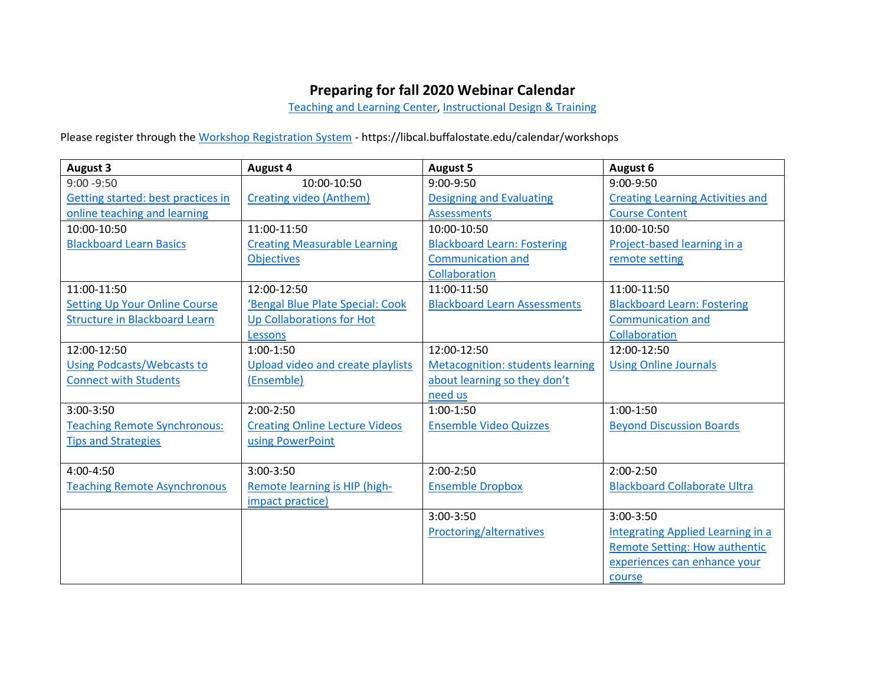## **Preparing for fall 2020 Webinar Calendar**

[Teaching and Learning Center,](https://tlc.buffalostate.edu/) [Instructional Design & Training](https://it.buffalostate.edu/training#:~:text=Instructional%20Design%20%26%20Training%20(IDT),web%2Denhanced%20courses%20and%20modules.&text=The%20team%20provides%20training%20for%20IT%2Dsupported%20technologies%20and%20services.)

Please register through the [Workshop Registration System](https://libcal.buffalostate.edu/calendar/workshops) - https://libcal.buffalostate.edu/calendar/workshops

| <b>August 3</b>                      | <b>August 4</b>                       | <b>August 5</b>                         | August 6                                |
|--------------------------------------|---------------------------------------|-----------------------------------------|-----------------------------------------|
| $9:00 - 9:50$                        | 10:00-10:50                           | 9:00-9:50                               | 9:00-9:50                               |
| Getting started: best practices in   | <b>Creating video (Anthem)</b>        | <b>Designing and Evaluating</b>         | <b>Creating Learning Activities and</b> |
| online teaching and learning         |                                       | <b>Assessments</b>                      | <b>Course Content</b>                   |
| 10:00-10:50                          | $11:00-11:50$                         | 10:00-10:50                             | 10:00-10:50                             |
| <b>Blackboard Learn Basics</b>       | <b>Creating Measurable Learning</b>   | <b>Blackboard Learn: Fostering</b>      | Project-based learning in a             |
|                                      | <b>Objectives</b>                     | <b>Communication and</b>                | remote setting                          |
|                                      |                                       | Collaboration                           |                                         |
| 11:00-11:50                          | 12:00-12:50                           | 11:00-11:50                             | 11:00-11:50                             |
| <b>Setting Up Your Online Course</b> | 'Bengal Blue Plate Special: Cook      | <b>Blackboard Learn Assessments</b>     | <b>Blackboard Learn: Fostering</b>      |
| <b>Structure in Blackboard Learn</b> | <b>Up Collaborations for Hot</b>      |                                         | <b>Communication and</b>                |
|                                      | Lessons                               |                                         | Collaboration                           |
| 12:00-12:50                          | $1:00-1:50$                           | 12:00-12:50                             | 12:00-12:50                             |
| <b>Using Podcasts/Webcasts to</b>    | Upload video and create playlists     | <b>Metacognition: students learning</b> | <b>Using Online Journals</b>            |
| <b>Connect with Students</b>         | (Ensemble)                            | about learning so they don't            |                                         |
|                                      |                                       | need us                                 |                                         |
| $3:00-3:50$                          | $2:00-2:50$                           | $1:00-1:50$                             | $1:00-1:50$                             |
| <b>Teaching Remote Synchronous:</b>  | <b>Creating Online Lecture Videos</b> | <b>Ensemble Video Quizzes</b>           | <b>Beyond Discussion Boards</b>         |
| <b>Tips and Strategies</b>           | using PowerPoint                      |                                         |                                         |
|                                      |                                       |                                         |                                         |
| 4:00-4:50                            | $3:00-3:50$                           | $2:00-2:50$                             | $2:00-2:50$                             |
| <b>Teaching Remote Asynchronous</b>  | Remote learning is HIP (high-         | <b>Ensemble Dropbox</b>                 | <b>Blackboard Collaborate Ultra</b>     |
|                                      | impact practice)                      |                                         |                                         |
|                                      |                                       | 3:00-3:50                               | 3:00-3:50                               |
|                                      |                                       | Proctoring/alternatives                 | Integrating Applied Learning in a       |
|                                      |                                       |                                         | <b>Remote Setting: How authentic</b>    |
|                                      |                                       |                                         | experiences can enhance your            |
|                                      |                                       |                                         | course                                  |